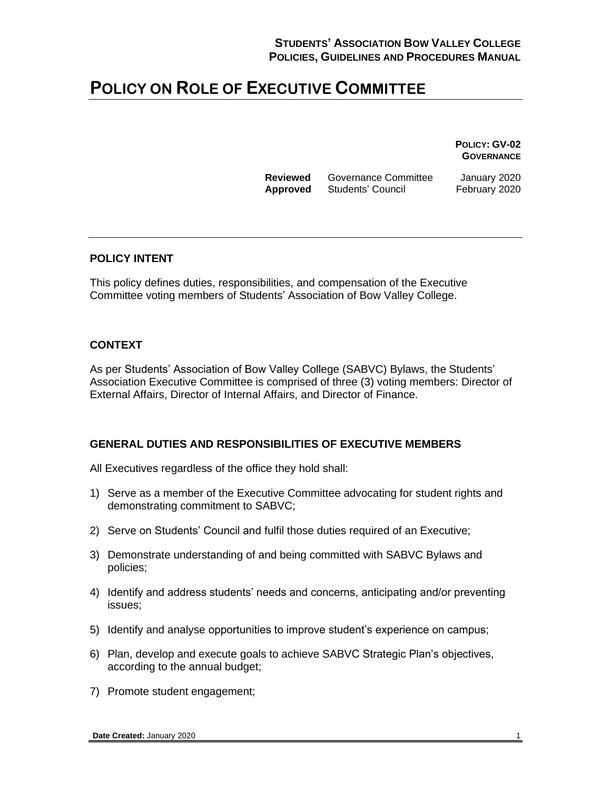**POLICY: GV-02 GOVERNANCE**

**Reviewed** Governance Committee January 2020 **Approved** Students' Council February 2020

#### **POLICY INTENT**

This policy defines duties, responsibilities, and compensation of the Executive Committee voting members of Students' Association of Bow Valley College.

#### **CONTEXT**

As per Students' Association of Bow Valley College (SABVC) Bylaws, the Students' Association Executive Committee is comprised of three (3) voting members: Director of External Affairs, Director of Internal Affairs, and Director of Finance.

#### **GENERAL DUTIES AND RESPONSIBILITIES OF EXECUTIVE MEMBERS**

All Executives regardless of the office they hold shall:

- 1) Serve as a member of the Executive Committee advocating for student rights and demonstrating commitment to SABVC;
- 2) Serve on Students' Council and fulfil those duties required of an Executive;
- 3) Demonstrate understanding of and being committed with SABVC Bylaws and policies;
- 4) Identify and address students' needs and concerns, anticipating and/or preventing issues;
- 5) Identify and analyse opportunities to improve student's experience on campus;
- 6) Plan, develop and execute goals to achieve SABVC Strategic Plan's objectives, according to the annual budget;
- 7) Promote student engagement;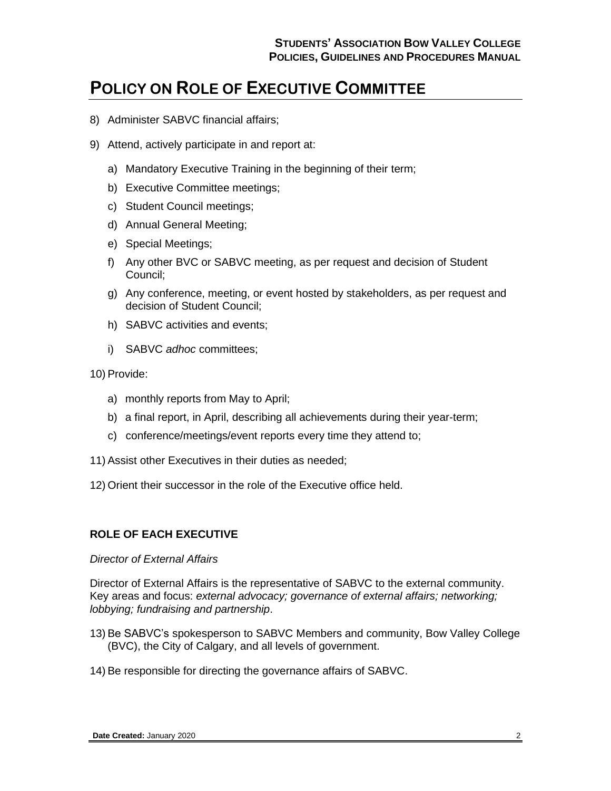- 8) Administer SABVC financial affairs;
- 9) Attend, actively participate in and report at:
	- a) Mandatory Executive Training in the beginning of their term;
	- b) Executive Committee meetings;
	- c) Student Council meetings;
	- d) Annual General Meeting;
	- e) Special Meetings;
	- f) Any other BVC or SABVC meeting, as per request and decision of Student Council;
	- g) Any conference, meeting, or event hosted by stakeholders, as per request and decision of Student Council;
	- h) SABVC activities and events;
	- i) SABVC *adhoc* committees;

10) Provide:

- a) monthly reports from May to April;
- b) a final report, in April, describing all achievements during their year-term;
- c) conference/meetings/event reports every time they attend to;
- 11) Assist other Executives in their duties as needed;
- 12) Orient their successor in the role of the Executive office held.

### **ROLE OF EACH EXECUTIVE**

#### *Director of External Affairs*

Director of External Affairs is the representative of SABVC to the external community. Key areas and focus: *external advocacy; governance of external affairs; networking; lobbying; fundraising and partnership*.

- 13) Be SABVC's spokesperson to SABVC Members and community, Bow Valley College (BVC), the City of Calgary, and all levels of government.
- 14) Be responsible for directing the governance affairs of SABVC.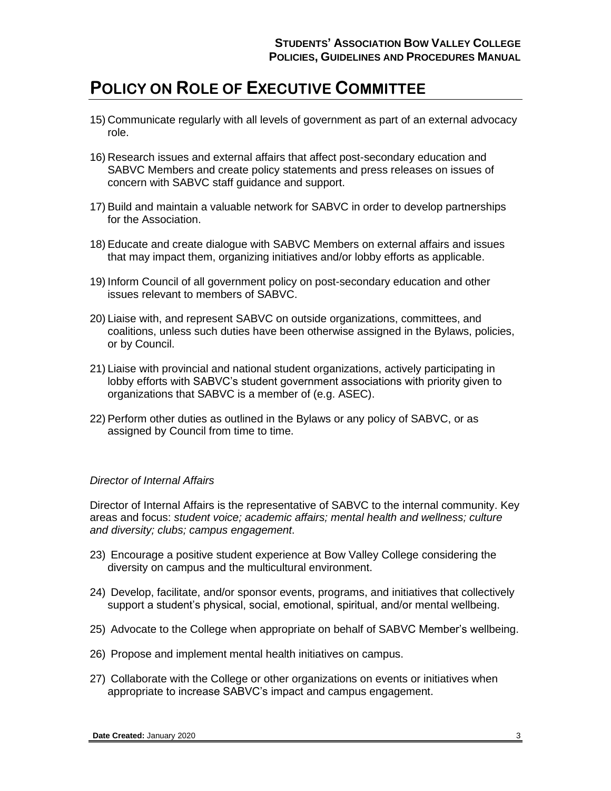- 15) Communicate regularly with all levels of government as part of an external advocacy role.
- 16) Research issues and external affairs that affect post-secondary education and SABVC Members and create policy statements and press releases on issues of concern with SABVC staff guidance and support.
- 17) Build and maintain a valuable network for SABVC in order to develop partnerships for the Association.
- 18) Educate and create dialogue with SABVC Members on external affairs and issues that may impact them, organizing initiatives and/or lobby efforts as applicable.
- 19) Inform Council of all government policy on post-secondary education and other issues relevant to members of SABVC.
- 20) Liaise with, and represent SABVC on outside organizations, committees, and coalitions, unless such duties have been otherwise assigned in the Bylaws, policies, or by Council.
- 21) Liaise with provincial and national student organizations, actively participating in lobby efforts with SABVC's student government associations with priority given to organizations that SABVC is a member of (e.g. ASEC).
- 22) Perform other duties as outlined in the Bylaws or any policy of SABVC, or as assigned by Council from time to time.

### *Director of Internal Affairs*

Director of Internal Affairs is the representative of SABVC to the internal community. Key areas and focus: *student voice; academic affairs; mental health and wellness; culture and diversity; clubs; campus engagement*.

- 23) Encourage a positive student experience at Bow Valley College considering the diversity on campus and the multicultural environment.
- 24) Develop, facilitate, and/or sponsor events, programs, and initiatives that collectively support a student's physical, social, emotional, spiritual, and/or mental wellbeing.
- 25) Advocate to the College when appropriate on behalf of SABVC Member's wellbeing.
- 26) Propose and implement mental health initiatives on campus.
- 27) Collaborate with the College or other organizations on events or initiatives when appropriate to increase SABVC's impact and campus engagement.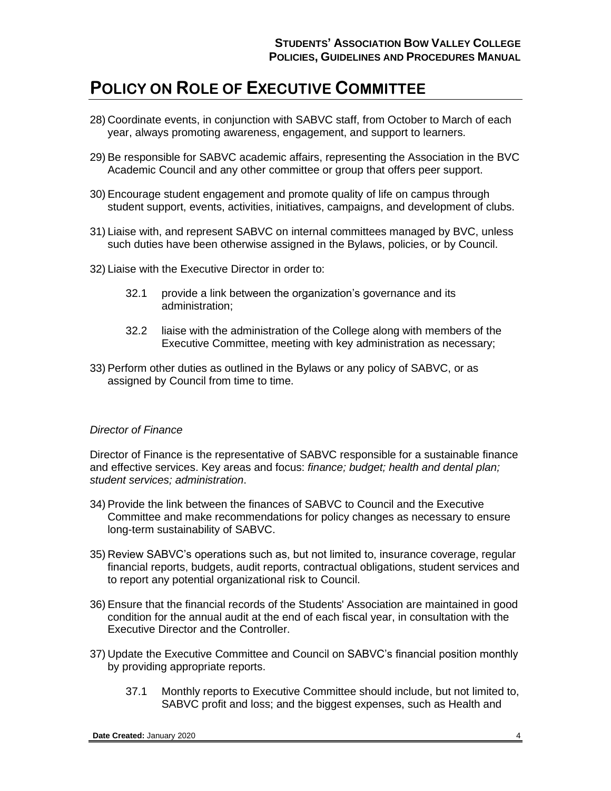- 28) Coordinate events, in conjunction with SABVC staff, from October to March of each year, always promoting awareness, engagement, and support to learners.
- 29) Be responsible for SABVC academic affairs, representing the Association in the BVC Academic Council and any other committee or group that offers peer support.
- 30) Encourage student engagement and promote quality of life on campus through student support, events, activities, initiatives, campaigns, and development of clubs.
- 31) Liaise with, and represent SABVC on internal committees managed by BVC, unless such duties have been otherwise assigned in the Bylaws, policies, or by Council.
- 32) Liaise with the Executive Director in order to:
	- 32.1 provide a link between the organization's governance and its administration;
	- 32.2 liaise with the administration of the College along with members of the Executive Committee, meeting with key administration as necessary;
- 33) Perform other duties as outlined in the Bylaws or any policy of SABVC, or as assigned by Council from time to time.

#### *Director of Finance*

Director of Finance is the representative of SABVC responsible for a sustainable finance and effective services. Key areas and focus: *finance; budget; health and dental plan; student services; administration*.

- 34) Provide the link between the finances of SABVC to Council and the Executive Committee and make recommendations for policy changes as necessary to ensure long-term sustainability of SABVC.
- 35) Review SABVC's operations such as, but not limited to, insurance coverage, regular financial reports, budgets, audit reports, contractual obligations, student services and to report any potential organizational risk to Council.
- 36) Ensure that the financial records of the Students' Association are maintained in good condition for the annual audit at the end of each fiscal year, in consultation with the Executive Director and the Controller.
- 37) Update the Executive Committee and Council on SABVC's financial position monthly by providing appropriate reports.
	- 37.1 Monthly reports to Executive Committee should include, but not limited to, SABVC profit and loss; and the biggest expenses, such as Health and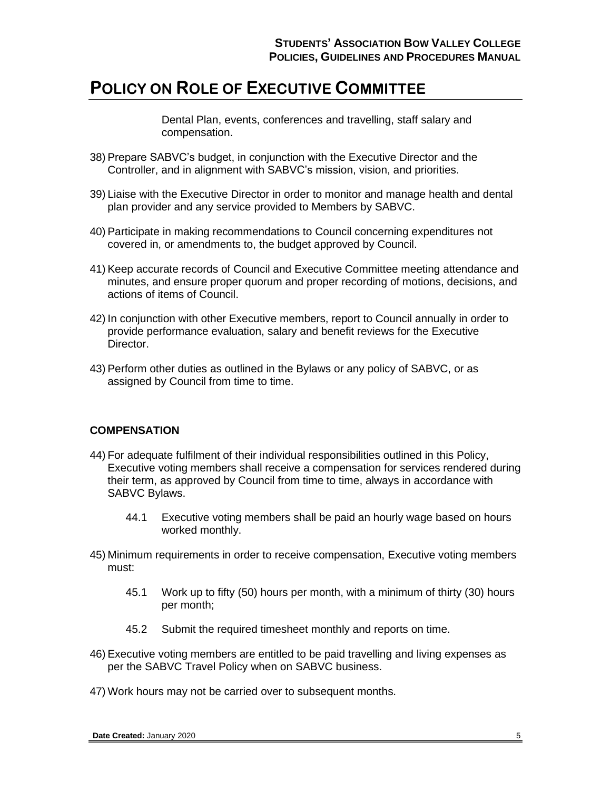Dental Plan, events, conferences and travelling, staff salary and compensation.

- 38) Prepare SABVC's budget, in conjunction with the Executive Director and the Controller, and in alignment with SABVC's mission, vision, and priorities.
- 39) Liaise with the Executive Director in order to monitor and manage health and dental plan provider and any service provided to Members by SABVC.
- 40) Participate in making recommendations to Council concerning expenditures not covered in, or amendments to, the budget approved by Council.
- 41) Keep accurate records of Council and Executive Committee meeting attendance and minutes, and ensure proper quorum and proper recording of motions, decisions, and actions of items of Council.
- 42) In conjunction with other Executive members, report to Council annually in order to provide performance evaluation, salary and benefit reviews for the Executive Director.
- 43) Perform other duties as outlined in the Bylaws or any policy of SABVC, or as assigned by Council from time to time.

### **COMPENSATION**

- 44) For adequate fulfilment of their individual responsibilities outlined in this Policy, Executive voting members shall receive a compensation for services rendered during their term, as approved by Council from time to time, always in accordance with SABVC Bylaws.
	- 44.1 Executive voting members shall be paid an hourly wage based on hours worked monthly.
- 45) Minimum requirements in order to receive compensation, Executive voting members must:
	- 45.1 Work up to fifty (50) hours per month, with a minimum of thirty (30) hours per month;
	- 45.2 Submit the required timesheet monthly and reports on time.
- 46) Executive voting members are entitled to be paid travelling and living expenses as per the SABVC Travel Policy when on SABVC business.
- 47) Work hours may not be carried over to subsequent months.